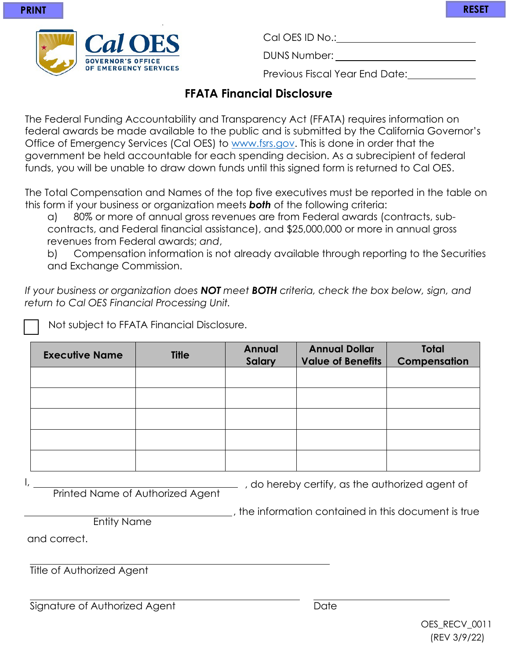



Cal OES ID No.: Note that the set of the set of the set of the set of the set of the set of the set of the set of the set of the set of the set of the set of the set of the set of the set of the set of the set of the set o

DUNS Number:

Previous Fiscal Year End Date:

## **FFATA Financial Disclosure**

The Federal Funding Accountability and Transparency Act (FFATA) requires information on federal awards be made available to the public and is submitted by the California Governor's Office of Emergency Services (Cal OES) to [www.fsrs.gov.](http://www.fsrs.gov/) This is done in order that the government be held accountable for each spending decision. As a subrecipient of federal funds, you will be unable to draw down funds until this signed form is returned to Cal OES.

The Total Compensation and Names of the top five executives must be reported in the table on this form if your business or organization meets *both* of the following criteria:

a) 80% or more of annual gross revenues are from Federal awards (contracts, subcontracts, and Federal financial assistance), and \$25,000,000 or more in annual gross revenues from Federal awards; *and*,

b) Compensation information is not already available through reporting to the Securities and Exchange Commission.

*If your business or organization does NOT meet BOTH criteria, check the box below, sign, and return to Cal OES Financial Processing Unit.*

Not subject to FFATA Financial Disclosure.

| <b>Executive Name</b> | <b>Title</b> | <b>Annual</b><br><b>Salary</b> | <b>Annual Dollar</b><br><b>Value of Benefits</b> | <b>Total</b><br>Compensation |
|-----------------------|--------------|--------------------------------|--------------------------------------------------|------------------------------|
|                       |              |                                |                                                  |                              |
|                       |              |                                |                                                  |                              |
|                       |              |                                |                                                  |                              |
|                       |              |                                |                                                  |                              |
|                       |              |                                |                                                  |                              |

I,

Printed Name of Authorized Agent  $\begin{array}{ll}\n\ldots\n\end{array}$  , do hereby certify, as the authorized agent of

, the information contained in this document is true

Entity Name

and correct.

Title of Authorized Agent

Signature of Authorized Agent **Date** Date